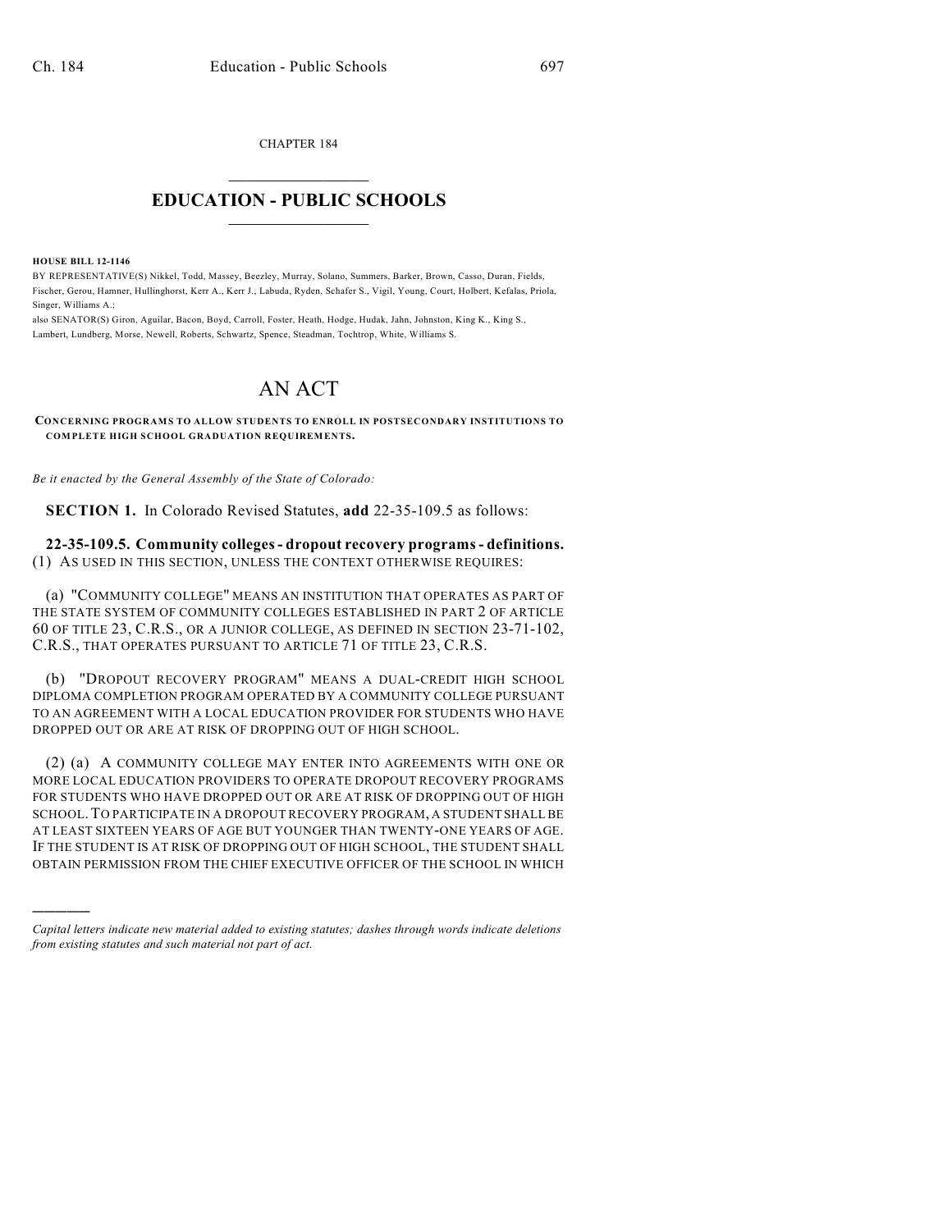CHAPTER 184

## $\mathcal{L}_\text{max}$  . The set of the set of the set of the set of the set of the set of the set of the set of the set of the set of the set of the set of the set of the set of the set of the set of the set of the set of the set **EDUCATION - PUBLIC SCHOOLS**  $\_$   $\_$   $\_$   $\_$   $\_$   $\_$   $\_$   $\_$   $\_$

**HOUSE BILL 12-1146**

)))))

BY REPRESENTATIVE(S) Nikkel, Todd, Massey, Beezley, Murray, Solano, Summers, Barker, Brown, Casso, Duran, Fields, Fischer, Gerou, Hamner, Hullinghorst, Kerr A., Kerr J., Labuda, Ryden, Schafer S., Vigil, Young, Court, Holbert, Kefalas, Priola, Singer, Williams A.;

also SENATOR(S) Giron, Aguilar, Bacon, Boyd, Carroll, Foster, Heath, Hodge, Hudak, Jahn, Johnston, King K., King S., Lambert, Lundberg, Morse, Newell, Roberts, Schwartz, Spence, Steadman, Tochtrop, White, Williams S.

## AN ACT

**CONCERNING PROGRAMS TO ALLOW STUDENTS TO ENROLL IN POSTSECONDARY INSTITUTIONS TO COMPLETE HIGH SCHOOL GRADUATION REQUIREMENTS.**

*Be it enacted by the General Assembly of the State of Colorado:*

**SECTION 1.** In Colorado Revised Statutes, **add** 22-35-109.5 as follows:

**22-35-109.5. Community colleges- dropout recovery programs- definitions.** (1) AS USED IN THIS SECTION, UNLESS THE CONTEXT OTHERWISE REQUIRES:

(a) "COMMUNITY COLLEGE" MEANS AN INSTITUTION THAT OPERATES AS PART OF THE STATE SYSTEM OF COMMUNITY COLLEGES ESTABLISHED IN PART 2 OF ARTICLE 60 OF TITLE 23, C.R.S., OR A JUNIOR COLLEGE, AS DEFINED IN SECTION 23-71-102, C.R.S., THAT OPERATES PURSUANT TO ARTICLE 71 OF TITLE 23, C.R.S.

(b) "DROPOUT RECOVERY PROGRAM" MEANS A DUAL-CREDIT HIGH SCHOOL DIPLOMA COMPLETION PROGRAM OPERATED BY A COMMUNITY COLLEGE PURSUANT TO AN AGREEMENT WITH A LOCAL EDUCATION PROVIDER FOR STUDENTS WHO HAVE DROPPED OUT OR ARE AT RISK OF DROPPING OUT OF HIGH SCHOOL.

(2) (a) A COMMUNITY COLLEGE MAY ENTER INTO AGREEMENTS WITH ONE OR MORE LOCAL EDUCATION PROVIDERS TO OPERATE DROPOUT RECOVERY PROGRAMS FOR STUDENTS WHO HAVE DROPPED OUT OR ARE AT RISK OF DROPPING OUT OF HIGH SCHOOL.TO PARTICIPATE IN A DROPOUT RECOVERY PROGRAM, A STUDENT SHALLBE AT LEAST SIXTEEN YEARS OF AGE BUT YOUNGER THAN TWENTY-ONE YEARS OF AGE. IF THE STUDENT IS AT RISK OF DROPPING OUT OF HIGH SCHOOL, THE STUDENT SHALL OBTAIN PERMISSION FROM THE CHIEF EXECUTIVE OFFICER OF THE SCHOOL IN WHICH

*Capital letters indicate new material added to existing statutes; dashes through words indicate deletions from existing statutes and such material not part of act.*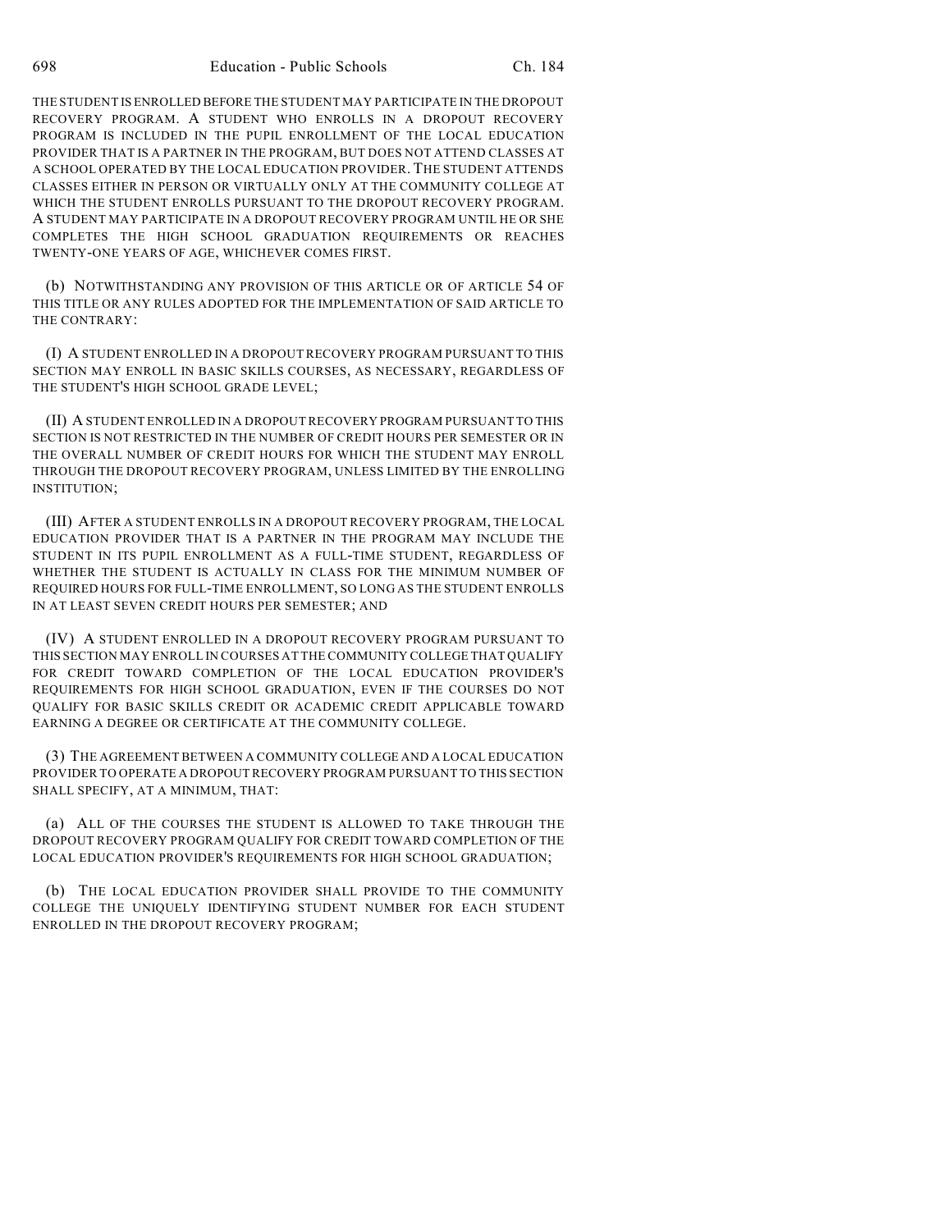THE STUDENT IS ENROLLED BEFORE THE STUDENT MAY PARTICIPATE IN THE DROPOUT RECOVERY PROGRAM. A STUDENT WHO ENROLLS IN A DROPOUT RECOVERY PROGRAM IS INCLUDED IN THE PUPIL ENROLLMENT OF THE LOCAL EDUCATION PROVIDER THAT IS A PARTNER IN THE PROGRAM, BUT DOES NOT ATTEND CLASSES AT A SCHOOL OPERATED BY THE LOCAL EDUCATION PROVIDER. THE STUDENT ATTENDS CLASSES EITHER IN PERSON OR VIRTUALLY ONLY AT THE COMMUNITY COLLEGE AT WHICH THE STUDENT ENROLLS PURSUANT TO THE DROPOUT RECOVERY PROGRAM. A STUDENT MAY PARTICIPATE IN A DROPOUT RECOVERY PROGRAM UNTIL HE OR SHE COMPLETES THE HIGH SCHOOL GRADUATION REQUIREMENTS OR REACHES TWENTY-ONE YEARS OF AGE, WHICHEVER COMES FIRST.

(b) NOTWITHSTANDING ANY PROVISION OF THIS ARTICLE OR OF ARTICLE 54 OF THIS TITLE OR ANY RULES ADOPTED FOR THE IMPLEMENTATION OF SAID ARTICLE TO THE CONTRARY:

(I) A STUDENT ENROLLED IN A DROPOUT RECOVERY PROGRAM PURSUANT TO THIS SECTION MAY ENROLL IN BASIC SKILLS COURSES, AS NECESSARY, REGARDLESS OF THE STUDENT'S HIGH SCHOOL GRADE LEVEL;

(II) A STUDENT ENROLLED IN A DROPOUT RECOVERY PROGRAM PURSUANT TO THIS SECTION IS NOT RESTRICTED IN THE NUMBER OF CREDIT HOURS PER SEMESTER OR IN THE OVERALL NUMBER OF CREDIT HOURS FOR WHICH THE STUDENT MAY ENROLL THROUGH THE DROPOUT RECOVERY PROGRAM, UNLESS LIMITED BY THE ENROLLING INSTITUTION;

(III) AFTER A STUDENT ENROLLS IN A DROPOUT RECOVERY PROGRAM, THE LOCAL EDUCATION PROVIDER THAT IS A PARTNER IN THE PROGRAM MAY INCLUDE THE STUDENT IN ITS PUPIL ENROLLMENT AS A FULL-TIME STUDENT, REGARDLESS OF WHETHER THE STUDENT IS ACTUALLY IN CLASS FOR THE MINIMUM NUMBER OF REQUIRED HOURS FOR FULL-TIME ENROLLMENT, SO LONG AS THE STUDENT ENROLLS IN AT LEAST SEVEN CREDIT HOURS PER SEMESTER; AND

(IV) A STUDENT ENROLLED IN A DROPOUT RECOVERY PROGRAM PURSUANT TO THIS SECTION MAY ENROLL IN COURSES AT THE COMMUNITY COLLEGE THAT QUALIFY FOR CREDIT TOWARD COMPLETION OF THE LOCAL EDUCATION PROVIDER'S REQUIREMENTS FOR HIGH SCHOOL GRADUATION, EVEN IF THE COURSES DO NOT QUALIFY FOR BASIC SKILLS CREDIT OR ACADEMIC CREDIT APPLICABLE TOWARD EARNING A DEGREE OR CERTIFICATE AT THE COMMUNITY COLLEGE.

(3) THE AGREEMENT BETWEEN A COMMUNITY COLLEGE AND A LOCAL EDUCATION PROVIDER TO OPERATE A DROPOUT RECOVERY PROGRAM PURSUANT TO THIS SECTION SHALL SPECIFY, AT A MINIMUM, THAT:

(a) ALL OF THE COURSES THE STUDENT IS ALLOWED TO TAKE THROUGH THE DROPOUT RECOVERY PROGRAM QUALIFY FOR CREDIT TOWARD COMPLETION OF THE LOCAL EDUCATION PROVIDER'S REQUIREMENTS FOR HIGH SCHOOL GRADUATION;

(b) THE LOCAL EDUCATION PROVIDER SHALL PROVIDE TO THE COMMUNITY COLLEGE THE UNIQUELY IDENTIFYING STUDENT NUMBER FOR EACH STUDENT ENROLLED IN THE DROPOUT RECOVERY PROGRAM;